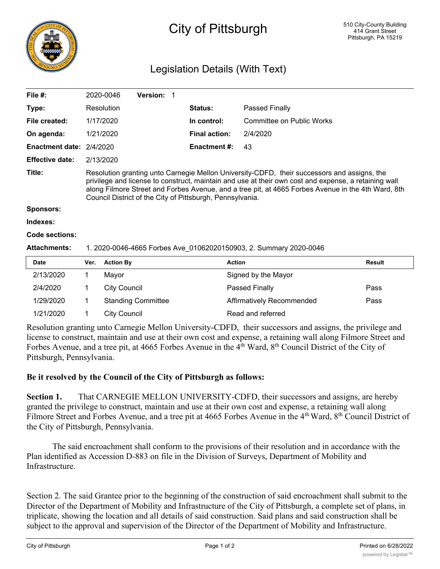

## City of Pittsburgh

## Legislation Details (With Text)

| File #:                  |                                                                                                                                                                                                                                                                                                                                                                        | 2020-0046           | Version: 1                |                      |                           |               |
|--------------------------|------------------------------------------------------------------------------------------------------------------------------------------------------------------------------------------------------------------------------------------------------------------------------------------------------------------------------------------------------------------------|---------------------|---------------------------|----------------------|---------------------------|---------------|
| Type:                    |                                                                                                                                                                                                                                                                                                                                                                        | Resolution          |                           | Status:              | Passed Finally            |               |
| File created:            |                                                                                                                                                                                                                                                                                                                                                                        | 1/17/2020           |                           | In control:          | Committee on Public Works |               |
| On agenda:               |                                                                                                                                                                                                                                                                                                                                                                        | 1/21/2020           |                           | <b>Final action:</b> | 2/4/2020                  |               |
| Enactment date: 2/4/2020 |                                                                                                                                                                                                                                                                                                                                                                        |                     |                           | <b>Enactment #:</b>  | 43                        |               |
| <b>Effective date:</b>   |                                                                                                                                                                                                                                                                                                                                                                        | 2/13/2020           |                           |                      |                           |               |
| Title:                   | Resolution granting unto Carnegie Mellon University-CDFD, their successors and assigns, the<br>privilege and license to construct, maintain and use at their own cost and expense, a retaining wall<br>along Filmore Street and Forbes Avenue, and a tree pit, at 4665 Forbes Avenue in the 4th Ward, 8th<br>Council District of the City of Pittsburgh, Pennsylvania. |                     |                           |                      |                           |               |
| <b>Sponsors:</b>         |                                                                                                                                                                                                                                                                                                                                                                        |                     |                           |                      |                           |               |
| Indexes:                 |                                                                                                                                                                                                                                                                                                                                                                        |                     |                           |                      |                           |               |
| Code sections:           |                                                                                                                                                                                                                                                                                                                                                                        |                     |                           |                      |                           |               |
| <b>Attachments:</b>      | 1. 2020-0046-4665 Forbes Ave_01062020150903, 2. Summary 2020-0046                                                                                                                                                                                                                                                                                                      |                     |                           |                      |                           |               |
| <b>Date</b>              | Ver.                                                                                                                                                                                                                                                                                                                                                                   | <b>Action By</b>    |                           | <b>Action</b>        |                           | <b>Result</b> |
| 2/13/2020                | 1                                                                                                                                                                                                                                                                                                                                                                      | Mayor               |                           |                      | Signed by the Mayor       |               |
| 2/4/2020                 |                                                                                                                                                                                                                                                                                                                                                                        | <b>City Council</b> |                           |                      | Passed Finally            | Pass          |
| 1/29/2020                |                                                                                                                                                                                                                                                                                                                                                                        |                     | <b>Standing Committee</b> |                      | Affirmatively Recommended | Pass          |

Resolution granting unto Carnegie Mellon University-CDFD, their successors and assigns, the privilege and license to construct, maintain and use at their own cost and expense, a retaining wall along Filmore Street and Forbes Avenue, and a tree pit, at 4665 Forbes Avenue in the 4<sup>th</sup> Ward, 8<sup>th</sup> Council District of the City of Pittsburgh, Pennsylvania.

## **Be it resolved by the Council of the City of Pittsburgh as follows:**

1/21/2020 1 City Council Read and referred

**Section 1.** That CARNEGIE MELLON UNIVERSITY-CDFD, their successors and assigns, are hereby granted the privilege to construct, maintain and use at their own cost and expense, a retaining wall along Filmore Street and Forbes Avenue, and a tree pit at 4665 Forbes Avenue in the 4<sup>th</sup> Ward, 8<sup>th</sup> Council District of the City of Pittsburgh, Pennsylvania.

The said encroachment shall conform to the provisions of their resolution and in accordance with the Plan identified as Accession D-883 on file in the Division of Surveys, Department of Mobility and Infrastructure.

Section 2. The said Grantee prior to the beginning of the construction of said encroachment shall submit to the Director of the Department of Mobility and Infrastructure of the City of Pittsburgh, a complete set of plans, in triplicate, showing the location and all details of said construction. Said plans and said construction shall be subject to the approval and supervision of the Director of the Department of Mobility and Infrastructure.